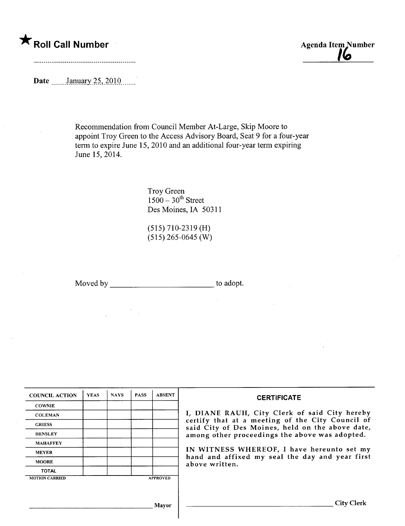# \* Roll Call Number Agenda Item Number Agenda Item Number

lb

Date **m....**January 25, 2010

Recommendation from Council Member At-Large, Skip Moore to appoint Troy Green to the Access Advisory Board, Seat 9 for a four-year term to expire June 15,2010 and an additional four-year term expiring June 15,2014.

> Troy Green  $1500 - 30$ <sup>th</sup> Street Des Moines, IA 50311

(515) 710-2319 (H)  $(515)$  265-0645 (W)

Moved by to adopt.

| <b>COUNCIL ACTION</b> | <b>YEAS</b> | <b>NAYS</b> | <b>PASS</b> | <b>ABSENT</b>   | <b>CERTIFICATE</b>                                                                                                                                                                                                                                                                                                         |
|-----------------------|-------------|-------------|-------------|-----------------|----------------------------------------------------------------------------------------------------------------------------------------------------------------------------------------------------------------------------------------------------------------------------------------------------------------------------|
| <b>COWNIE</b>         |             |             |             |                 |                                                                                                                                                                                                                                                                                                                            |
| <b>COLEMAN</b>        |             |             |             |                 | I, DIANE RAUH, City Clerk of said City hereby<br>certify that at a meeting of the City Council of<br>said City of Des Moines, held on the above date,<br>among other proceedings the above was adopted.<br>IN WITNESS WHEREOF, I have hereunto set my<br>hand and affixed my seal the day and year first<br>above written. |
| <b>GRIESS</b>         |             |             |             |                 |                                                                                                                                                                                                                                                                                                                            |
| <b>HENSLEY</b>        |             |             |             |                 |                                                                                                                                                                                                                                                                                                                            |
| <b>MAHAFFEY</b>       |             |             |             |                 |                                                                                                                                                                                                                                                                                                                            |
| <b>MEYER</b>          |             |             |             |                 |                                                                                                                                                                                                                                                                                                                            |
| <b>MOORE</b>          |             |             |             |                 |                                                                                                                                                                                                                                                                                                                            |
| TOTAL                 |             |             |             |                 |                                                                                                                                                                                                                                                                                                                            |
| <b>MOTION CARRIED</b> |             |             |             | <b>APPROVED</b> |                                                                                                                                                                                                                                                                                                                            |
|                       |             |             |             |                 |                                                                                                                                                                                                                                                                                                                            |
| Mavor                 |             |             |             |                 | City Clerk                                                                                                                                                                                                                                                                                                                 |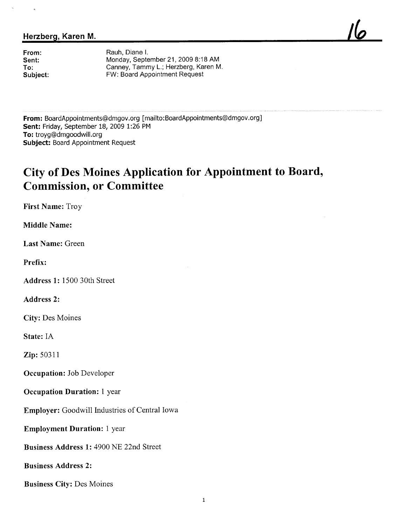### Herzberg, Karen M.

From: Sent: To: Subject:

Rauh, Diane L Monday, September 21, 2009 8:18 AM Canney, Tammy L.; Herzberg, Karen M. FW: Board Appointment Request

<u>Ilo</u>

From: BoardAppointments@dmgov.org [mailto: BoardAppointments@dmgov.org] Sent: Friday, September 18, 2009 1:26 PM To: troyg@dmgoodwill.org Subject: Board Appointment Request

## City of Des Moines Application for Appointment to Board, Commission, or Committee

First Name: Troy

Middle Name:

Last Name: Green

Prefix:

Address 1: 1500 30th Street

Address 2:

City: Des Moines

State: IA

Zip: 50311

Occupation: Job Developer

Occupation Duration: 1 year

Employer: Goodwill Industries of Central Iowa

Employment Duration: 1 year

Business Address 1: 4900 NE 22nd Street

Business Address 2:

Business City: Des Moines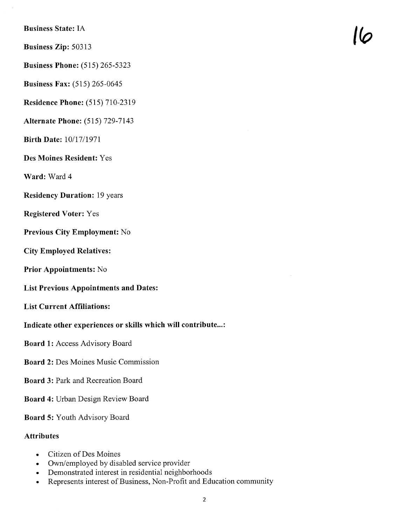Business State: IA

Business Zip: 50313 10

Business Phone: (515) 265-5323

Business Fax: (515) 265-0645

Residence Phone: (515) 710-2319

Alternate Phone: (515) 729-7143

Birth Date: 10/17/1971

Des Moines Resident: Yes

Ward: Ward 4

Residency Duration: 19 years

Registered Voter: Yes

Previous City Employment: No

City Employed Relatives:

Prior Appointments: No

List Previous Appointments and Dates:

List Current Affiiations:

### Indicate other experiences or skills which will contribute...:

Board 1: Access Advisory Board

- Board 2: Des Moines Music Commission
- Board 3: Park and Recreation Board

Board 4: Urban Design Review Board

Board 5: Youth Advisory Board

### Attributes

- . Citizen of Des Moines
- . Own/employed by disabled service provider
- . Demonstrated interest in residential neighborhoods
- . Represents interest of Business, Non-Profit and Education community